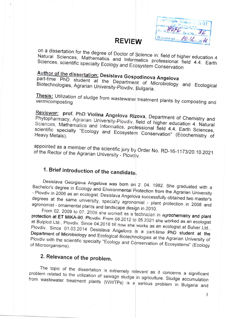| $-25.76$ |                           |
|----------|---------------------------|
|          |                           |
|          | Hope Acre New             |
|          |                           |
|          | (Nowwell the MO-12 20 26) |

#### **REVIEW**

on a dissertation for the degree of Doctor of Science in: field of higher education 4 Natural Sciences, Mathematics and Informatics professional field 4.4. Earth Sciences, scientific specialty Ecology and Ecosystem Conservation

# Author of the dissertation: Desislava Gospodinova Angelova

part-time PhD student at the Department of Microbiology and Ecological Biotechnologies, Agrarian University-Plovdiv, Bulgaria.

Thesis: Utilization of sludge from wastewater treatment plants by composting and vermicomposting

Reviewer: prof. PhD Violina Angelova Rizova, Department of Chemistry and Phytopharmacy, Agrarian University-Plovdiv, field of higher education 4. Natural Sciences, Mathematics and Informatics, professional field 4.4. Earth Sciences, scientific specialty "Ecology and Ecosystem Conservation" (Ecochemistry of

appointed as a member of the scientific jury by Order No. RD-16-1173/20.10.2021 of the Rector of the Agrarian University - Plovdly.

# 1. Brief introduction of the candidate.

Desislava Georgieva Angelova was born on 2. 04. 1982. She graduated with a Bachelor's degree in Ecology and Environmental Protection from the Agrarian University - Plovdiv in 2006 as an ecologist. Desislava Angelova successfully obtained two master's degrees at the same university, specialty agronomist - plant protection in 2008 and agronomist - ornamental plants and landscape design in 2010.

From 02. 2009 to 07. 2009 she worked as a technician in agrochemistry and plant protection at ET MIKA-90, Plovdiv. From 08.2012 to 05.2021 she worked as an ecologist at Bulplod Ltd., Plovdiv. Since 04.2018 till now she works as an ecologist at Bulver Ltd., Plovdiv. Since 01.03.2014 Desislava Angelova is a part-time PhD student at the Department of Microbiology and Ecological Biotechnologies at the Agrarian University of Plovdiv with the scientific specialty "Ecology and Conservation of Ecosystems" (Ecology of Microorganisms).

## 2. Relevance of the problem.

The topic of the dissertation is extremely relevant as it concerns a significant problem related to the utilization of sewage sludge in agriculture. Sludge accumulation from wastewater treatment plants (WWTPs) is a serious problem in Bulgaria and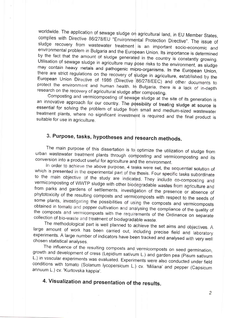worldwide. The application of sewage sludge on agricultural land, in EU Member States, complies with Directive 86/278/EU "Environmental Protection Directive". The issue of sludge recovery from wastewater treatment is an important socio-economic and environmental problem in Bulgaria and the European Union. Its importance is determined by the fact that the amount of sludge generated in the country is constantly growing. Utilisation of sewage sludge in agriculture may pose risks to the environment, as sludge may contain heavy metals and pathogenic micro-organisms. In the European Union, there are strict regulations on the recovery of sludge in agriculture, established by the European Union Directive of 1986 (Directive 86/278/EEC) and other documents to protect the environment and human health. In Bulgaria, there is a lack of in-depth research on the recovery of agricultural sludge after composting.

Composting and vermicomposting of sewage sludge at the site of its generation is an innovative approach for our country. The possibility of treating sludge at source is essential for solving the problem of sludge from small and medium-sized wastewater treatment plants, where no significant investment is required and the final product is suitable for use in agriculture.

# 3. Purpose, tasks, hypotheses and research methods.

The main purpose of this dissertation is to optimize the utilization of sludge from urban wastewater treatment plants through composting and vermicomposting and its conversion into a product useful for agriculture and the environment.

In order to achieve the above purpose, 4 tasks were set, the sequential solution of which is presented in the experimental part of the thesis. Four specific tasks subordinate to the main objective of the study are indicated. They include co-composting and vermicomposting of WWTP sludge with other biodegradable wastes from agriculture and from parks and gardens of settlements, investigation of the presence or absence of phytotoxicity of the resulting composts and vermicomposts with respect to the seeds of some plants, investigating the possibilities of using the composts and vermicomposts obtained in tomato and pepper cultivation and analysing the compliance of the quality of the composts and vermicomposts with the requirements of the Ordinance on separate collection of bio-waste and treatment of biodegradable waste.

The methodological part is well planned to achieve the set aims and objectives. A large amount of work has been carried out, including precise field and laboratory experiments. A large number of indicators have been tracked and analysed with very well chosen statistical analyses.

The influence of the resulting composts and vermicomposts on seed germination, growth and development of cress (Lepidium sativum L.) and garden pea (Pisum sativum L.) in vascular experiments was evaluated. Experiments were also conducted under field conditions with tomato (Solanum lycopersicum L.) cv. 'Miliana' and pepper (Capsicum annuum L.) cv. 'Kurtovska kappia'.

## 4. Visualization and presentation of the results.

 $\overline{c}$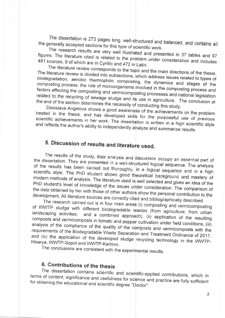The dissertation is 273 pages long, well-structured and balanced, and contains all the generally accepted sections for this type of scientific work.

The research results are very well illustrated and presented in 37 tables and 97 figures. The literature cited is related to the problem under consideration and includes 481 sources, 9 of which are in Cyrillic and 472 in Latin.

The literature review corresponds to the topic and the main directions of the thesis. The literature review is divided into subsections, which address issues related to types of biodegradation, aerobic thermophilic composting, the dynamics and stages of the composting process, the role of microorganisms involved in the composting process and factors affecting the composting and vermicomposting processes and national legislation related to the recycling of sewage sludge and its use in agriculture. The conclusion at the end of the section determines the necessity of conducting this study.

Desislava Angelova shows a good awareness of the achievements on the problem treated in the thesis, and has developed skills for the purposeful use of previous scientific achievements in her work. The dissertation is written in a high scientific style and reflects the author's ability to independently analyze and summarize results.

# 5. Discussion of results and literature used.

The results of the study, their analysis and discussion occupy an essential part of the dissertation. They are presented in a well-structured logical sequence. The analysis of the results has been carried out thoroughly, in a logical sequence and in a high scientific style. The PhD student shows good theoretical background and mastery of modern methods of analysis. The literature used is well selected and gives an idea of the PhD student's level of knowledge of the issues under consideration. The comparison of the data obtained by her with those of other authors show the personal contribution to the development. All literature sources are correctly cited and bibliographically described.

The research carried out is in four main areas (i) composting and vermicomposting of WWTP sludge with different biodegradable wastes (from agriculture; from urban landscaping activities; and a combined approach), (ii) application of the resulting composts and vermicomposts in tomato and pepper cultivation under field conditions, (iii) analysis of the compliance of the quality of the composts and vermicomposts with the requirements of the Biodegradable Waste Separation and Treatment Ordinance of 2017. and (iv) the application of the developed sludge recycling technology in the WWTP-Hisarya, WWTP-Sopot and WWTP-Karlovo.

The conclusions are consistent with the experimental results.

#### 6. Contributions of the thesis

The dissertation contains scientific and scientific-applied contributions, which in terms of content, significance and usefulness for science and practice are fully sufficient for obtaining the educational and scientific degree "Doctor".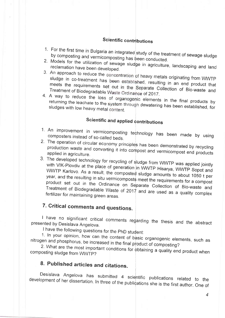#### Scientific contributions

- 1. For the first time in Bulgaria an integrated study of the treatment of sewage sludge by composting and vermicomposting has been conducted.
- 2. Models for the utilization of sewage sludge in agriculture, landscaping and land reclamation have been developed.
- 3. An approach to reduce the concentration of heavy metals originating from WWTP sludge in co-treatment has been established, resulting in an end product that meets the requirements set out in the Separate Collection of Bio-waste and Treatment of Biodegradable Waste Ordinance of 2017.
- 4. A way to reduce the loss of organogenic elements in the final products by returning the leachate to the system through dewatering has been established, for sludges with low heavy metal content.

## Scientific and applied contributions

- 1. An improvement in vermicomposting technology has been made by using composters instead of so-called beds.
- 2. The operation of circular economy principles has been demonstrated by recycling production waste and converting it into compost and vermicompost end products applied in agriculture.
- 3. The developed technology for recycling of sludge from WWTP was applied jointly with VIK-Plovdiv at the place of generation in WWTP Hisarya, WWTP Sopot and WWTP Karlovo. As a result, the composted sludge amounts to about 1050 t per year, and the resulting in situ vermicomposts meet the requirements for a compost product set out in the Ordinance on Separate Collection of Bio-waste and Treatment of Biodegradable Waste of  $2017$  and are used as a quality complex fertilizer for maintaining green areas.

# 7. Critical comments and questions.

I have no significant critical comments regarding the thesis and the abstract presented by Desislava Angelova.

I have the following questions for the PhD student:

1. In your opinion, how can the content of basic organogenic elements, such as nitrogen and phosphorus, be increased in the final product of composting?

2. What are the most important conditions for obtaining a quality end product when composting sludge from WWTP?

### 8. Published articles and citations.

Desislava Angelova has submitted 4 scientific publications related to the development of her dissertation. In three of the publications she is the first author. One of